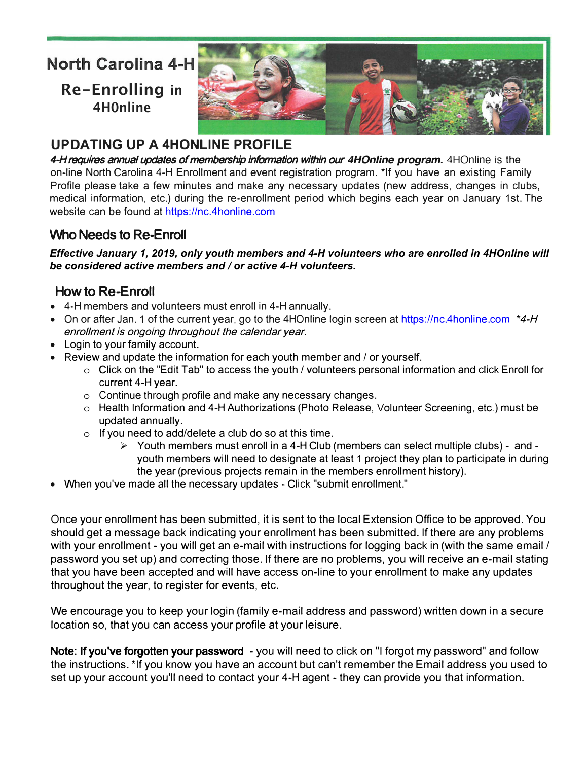# **North Carolina 4-H**

**Re-Enrolling in 4H0nline**



# **UPDATING UP A 4HONLINE PROFILE**

4-H requires annual updates of membership information within our *4HOnline program***.** 4HOnline is the on-line North Carolina 4-H Enrollment and event registration program. \*If you have an existing Family Profile please take a few minutes and make any necessary updates (new address, changes in clubs, medical information, etc.) during the re-enrollment period which [begins](https://nc.4honline.com) each year on January 1st. The website can be found at https://nc.4honline.com

### Who Needs to Re-Enroll

*Effective January 1, 2019, only youth members and 4-H volunteers who are enrolled in 4HOnline will be considered active members and / or active 4-H volunteers.* 

## How to **R**e-Enroll

- 4-H members and volunteers must enroll in 4-H annually.
- On or after Jan. 1 of the current year, go to the 4HOnline login screen at https://nc.4honline.com *\**4-H enrollment is ongoing throughout the calendar year.
- Login to your family account.
- Review and update the information for each youth member and / or yourself.
	- o Click on the "Edit Tab" to access the youth / volunteers personal information and click Enroll for current 4-H year.
	- o Continue through profile and make any necessary changes.
	- o Health Information and 4-H Authorizations (Photo Release, Volunteer Screening, etc.) must be updated annually.
	- o If you need to add/delete a club do so at this time.
		- $\triangleright$  Youth members must enroll in a 4-H Club (members can select multiple clubs) and youth members will need to designate at least 1 project they plan to participate in during the year (previous projects remain in the members enrollment history).
- When you've made all the necessary updates Click "submit enrollment."

Once your enrollment has been submitted, it is sent to the local Extension Office to be approved. You should get a message back indicating your enrollment has been submitted. If there are any problems with your enrollment - you will get an e-mail with instructions for logging back in (with the same email / password you set up) and correcting those. If there are no problems, you will receive an e-mail stating that you have been accepted and will have access on-line to your enrollment to make any updates throughout the year, to register for events, etc.

We encourage you to keep your login (family e-mail address and password) written down in a secure location so, that you can access your profile at your leisure.

Note: **I**f you**'**ve forgotten your password - you will need to click on "I forgot my password" and follow the instructions. \*If you know you have an account but can't remember the Email address you used to set up your account you'll need to contact your 4-H agent - they can provide you that information.